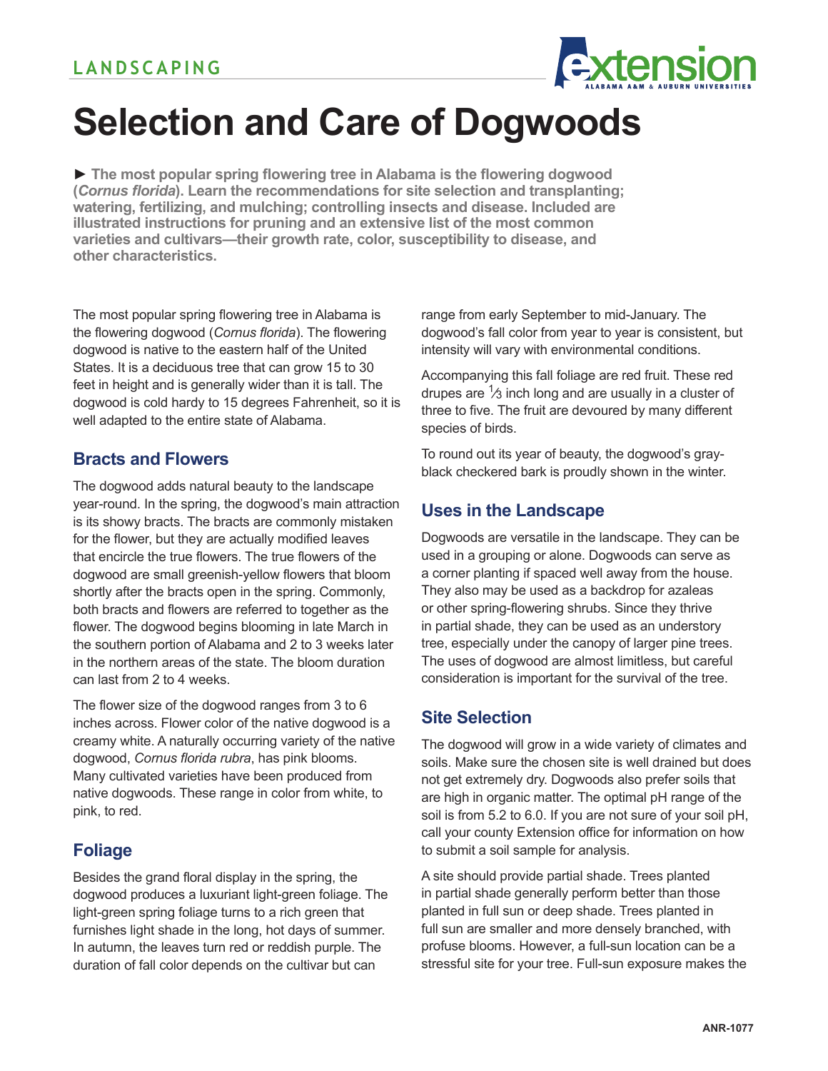

# **Selection and Care of Dogwoods**

**► The most popular spring flowering tree in Alabama is the flowering dogwood (***Cornus florida***). Learn the recommendations for site selection and transplanting; watering, fertilizing, and mulching; controlling insects and disease. Included are illustrated instructions for pruning and an extensive list of the most common varieties and cultivars—their growth rate, color, susceptibility to disease, and other characteristics.**

The most popular spring flowering tree in Alabama is the flowering dogwood (*Cornus florida*). The flowering dogwood is native to the eastern half of the United States. It is a deciduous tree that can grow 15 to 30 feet in height and is generally wider than it is tall. The dogwood is cold hardy to 15 degrees Fahrenheit, so it is well adapted to the entire state of Alabama.

# **Bracts and Flowers**

The dogwood adds natural beauty to the landscape year-round. In the spring, the dogwood's main attraction is its showy bracts. The bracts are commonly mistaken for the flower, but they are actually modified leaves that encircle the true flowers. The true flowers of the dogwood are small greenish-yellow flowers that bloom shortly after the bracts open in the spring. Commonly, both bracts and flowers are referred to together as the flower. The dogwood begins blooming in late March in the southern portion of Alabama and 2 to 3 weeks later in the northern areas of the state. The bloom duration can last from 2 to 4 weeks.

The flower size of the dogwood ranges from 3 to 6 inches across. Flower color of the native dogwood is a creamy white. A naturally occurring variety of the native dogwood, *Cornus florida rubra*, has pink blooms. Many cultivated varieties have been produced from native dogwoods. These range in color from white, to pink, to red.

# **Foliage**

Besides the grand floral display in the spring, the dogwood produces a luxuriant light-green foliage. The light-green spring foliage turns to a rich green that furnishes light shade in the long, hot days of summer. In autumn, the leaves turn red or reddish purple. The duration of fall color depends on the cultivar but can

range from early September to mid-January. The dogwood's fall color from year to year is consistent, but intensity will vary with environmental conditions.

Accompanying this fall foliage are red fruit. These red drupes are  $\frac{1}{3}$  inch long and are usually in a cluster of three to five. The fruit are devoured by many different species of birds.

To round out its year of beauty, the dogwood's grayblack checkered bark is proudly shown in the winter.

# **Uses in the Landscape**

Dogwoods are versatile in the landscape. They can be used in a grouping or alone. Dogwoods can serve as a corner planting if spaced well away from the house. They also may be used as a backdrop for azaleas or other spring-flowering shrubs. Since they thrive in partial shade, they can be used as an understory tree, especially under the canopy of larger pine trees. The uses of dogwood are almost limitless, but careful consideration is important for the survival of the tree.

# **Site Selection**

The dogwood will grow in a wide variety of climates and soils. Make sure the chosen site is well drained but does not get extremely dry. Dogwoods also prefer soils that are high in organic matter. The optimal pH range of the soil is from 5.2 to 6.0. If you are not sure of your soil pH, call your county Extension office for information on how to submit a soil sample for analysis.

A site should provide partial shade. Trees planted in partial shade generally perform better than those planted in full sun or deep shade. Trees planted in full sun are smaller and more densely branched, with profuse blooms. However, a full-sun location can be a stressful site for your tree. Full-sun exposure makes the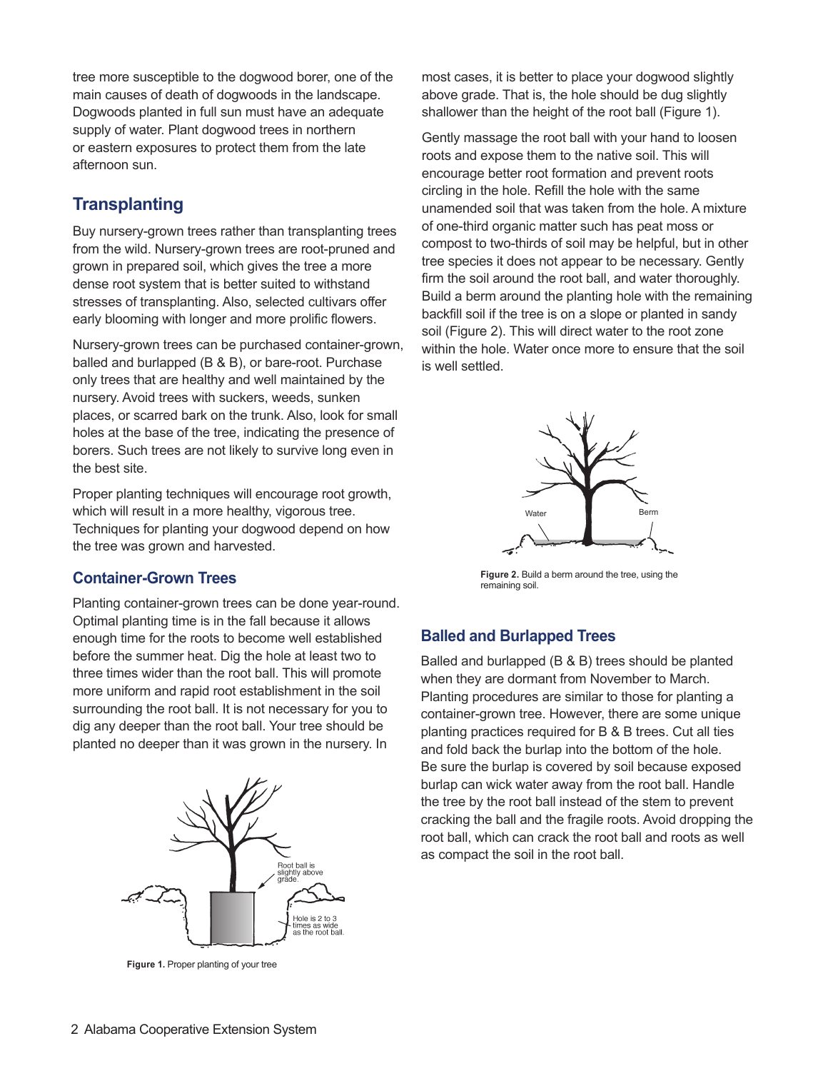tree more susceptible to the dogwood borer, one of the main causes of death of dogwoods in the landscape. Dogwoods planted in full sun must have an adequate supply of water. Plant dogwood trees in northern or eastern exposures to protect them from the late afternoon sun.

# **Transplanting**

Buy nursery-grown trees rather than transplanting trees from the wild. Nursery-grown trees are root-pruned and grown in prepared soil, which gives the tree a more dense root system that is better suited to withstand stresses of transplanting. Also, selected cultivars offer early blooming with longer and more prolific flowers.

Nursery-grown trees can be purchased container-grown, balled and burlapped (B & B), or bare-root. Purchase only trees that are healthy and well maintained by the nursery. Avoid trees with suckers, weeds, sunken places, or scarred bark on the trunk. Also, look for small holes at the base of the tree, indicating the presence of borers. Such trees are not likely to survive long even in the best site.

Proper planting techniques will encourage root growth, which will result in a more healthy, vigorous tree. Techniques for planting your dogwood depend on how the tree was grown and harvested.

## **Container-Grown Trees**

Planting container-grown trees can be done year-round. Optimal planting time is in the fall because it allows enough time for the roots to become well established before the summer heat. Dig the hole at least two to three times wider than the root ball. This will promote more uniform and rapid root establishment in the soil surrounding the root ball. It is not necessary for you to dig any deeper than the root ball. Your tree should be planted no deeper than it was grown in the nursery. In



**Figure 1.** Proper planting of your tree

most cases, it is better to place your dogwood slightly above grade. That is, the hole should be dug slightly shallower than the height of the root ball (Figure 1).

Gently massage the root ball with your hand to loosen roots and expose them to the native soil. This will encourage better root formation and prevent roots circling in the hole. Refill the hole with the same unamended soil that was taken from the hole. A mixture of one-third organic matter such has peat moss or compost to two-thirds of soil may be helpful, but in other tree species it does not appear to be necessary. Gently firm the soil around the root ball, and water thoroughly. Build a berm around the planting hole with the remaining backfill soil if the tree is on a slope or planted in sandy soil (Figure 2). This will direct water to the root zone within the hole. Water once more to ensure that the soil is well settled.



**Figure 2.** Build a berm around the tree, using the remaining soil.

#### **Balled and Burlapped Trees**

Balled and burlapped (B & B) trees should be planted when they are dormant from November to March. Planting procedures are similar to those for planting a container-grown tree. However, there are some unique planting practices required for B & B trees. Cut all ties and fold back the burlap into the bottom of the hole. Be sure the burlap is covered by soil because exposed burlap can wick water away from the root ball. Handle the tree by the root ball instead of the stem to prevent cracking the ball and the fragile roots. Avoid dropping the root ball, which can crack the root ball and roots as well as compact the soil in the root ball.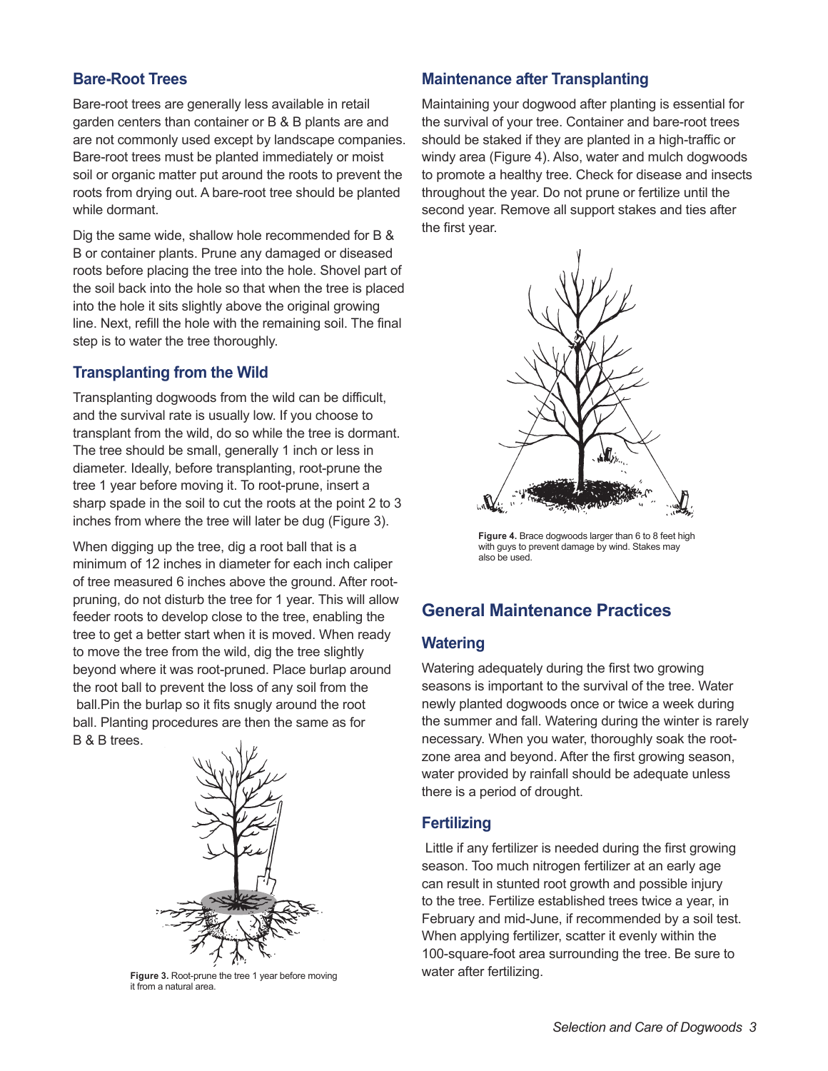## **Bare-Root Trees**

Bare-root trees are generally less available in retail garden centers than container or B & B plants are and are not commonly used except by landscape companies. Bare-root trees must be planted immediately or moist soil or organic matter put around the roots to prevent the roots from drying out. A bare-root tree should be planted while dormant.

Dig the same wide, shallow hole recommended for B & B or container plants. Prune any damaged or diseased roots before placing the tree into the hole. Shovel part of the soil back into the hole so that when the tree is placed into the hole it sits slightly above the original growing line. Next, refill the hole with the remaining soil. The final step is to water the tree thoroughly.

## **Transplanting from the Wild**

Transplanting dogwoods from the wild can be difficult, and the survival rate is usually low. If you choose to transplant from the wild, do so while the tree is dormant. The tree should be small, generally 1 inch or less in diameter. Ideally, before transplanting, root-prune the tree 1 year before moving it. To root-prune, insert a sharp spade in the soil to cut the roots at the point 2 to 3 inches from where the tree will later be dug (Figure 3).

When digging up the tree, dig a root ball that is a minimum of 12 inches in diameter for each inch caliper of tree measured 6 inches above the ground. After rootpruning, do not disturb the tree for 1 year. This will allow feeder roots to develop close to the tree, enabling the tree to get a better start when it is moved. When ready to move the tree from the wild, dig the tree slightly beyond where it was root-pruned. Place burlap around the root ball to prevent the loss of any soil from the ball.Pin the burlap so it fits snugly around the root ball. Planting procedures are then the same as for B & B trees.



**Figure 3.** Root-prune the tree 1 year before moving it from a natural area.

## **Maintenance after Transplanting**

Maintaining your dogwood after planting is essential for the survival of your tree. Container and bare-root trees should be staked if they are planted in a high-traffic or windy area (Figure 4). Also, water and mulch dogwoods to promote a healthy tree. Check for disease and insects throughout the year. Do not prune or fertilize until the second year. Remove all support stakes and ties after the first year.



**Figure 4.** Brace dogwoods larger than 6 to 8 feet high with guys to prevent damage by wind. Stakes may also be used.

# **General Maintenance Practices**

## **Watering**

Watering adequately during the first two growing seasons is important to the survival of the tree. Water newly planted dogwoods once or twice a week during the summer and fall. Watering during the winter is rarely necessary. When you water, thoroughly soak the rootzone area and beyond. After the first growing season, water provided by rainfall should be adequate unless there is a period of drought.

## **Fertilizing**

 Little if any fertilizer is needed during the first growing season. Too much nitrogen fertilizer at an early age can result in stunted root growth and possible injury to the tree. Fertilize established trees twice a year, in February and mid-June, if recommended by a soil test. When applying fertilizer, scatter it evenly within the 100-square-foot area surrounding the tree. Be sure to water after fertilizing.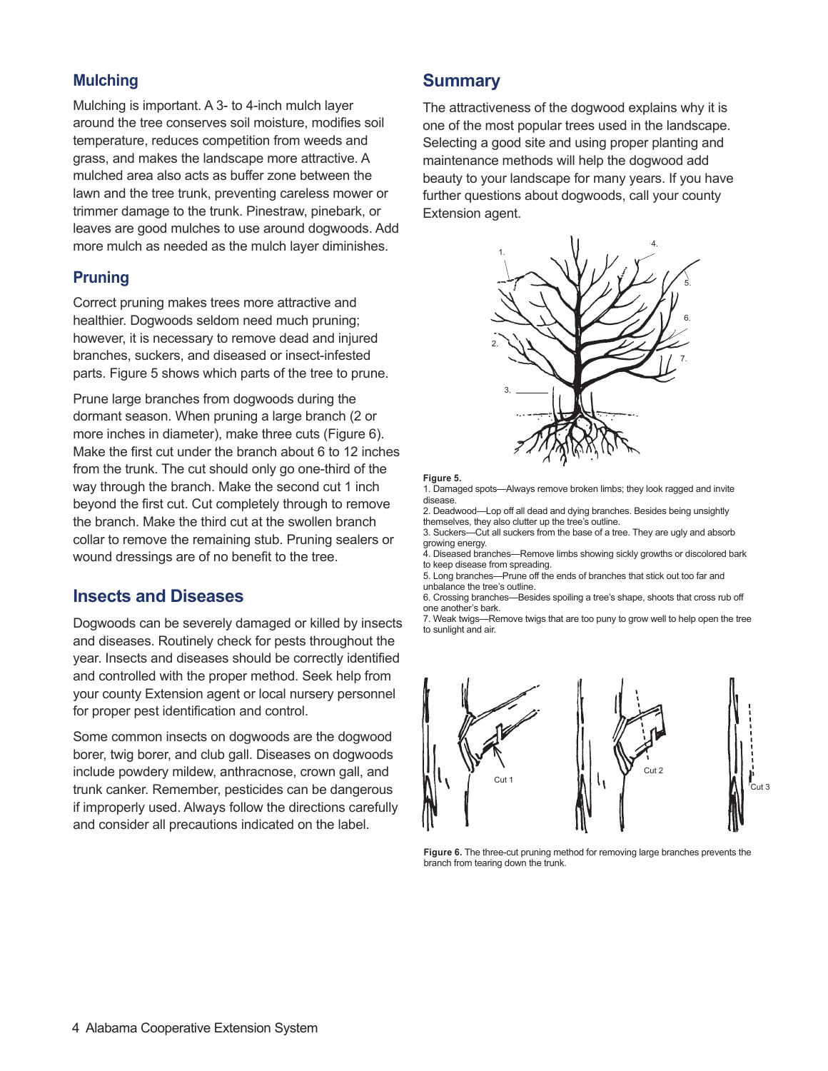## **Mulching**

Mulching is important. A 3- to 4-inch mulch layer around the tree conserves soil moisture, modifies soil temperature, reduces competition from weeds and grass, and makes the landscape more attractive. A mulched area also acts as buffer zone between the lawn and the tree trunk, preventing careless mower or trimmer damage to the trunk. Pinestraw, pinebark, or leaves are good mulches to use around dogwoods. Add more mulch as needed as the mulch layer diminishes.

## **Pruning**

Correct pruning makes trees more attractive and healthier. Dogwoods seldom need much pruning; however, it is necessary to remove dead and injured branches, suckers, and diseased or insect-infested parts. Figure 5 shows which parts of the tree to prune.

Prune large branches from dogwoods during the dormant season. When pruning a large branch (2 or more inches in diameter), make three cuts (Figure 6). Make the first cut under the branch about 6 to 12 inches from the trunk. The cut should only go one-third of the way through the branch. Make the second cut 1 inch beyond the first cut. Cut completely through to remove the branch. Make the third cut at the swollen branch collar to remove the remaining stub. Pruning sealers or wound dressings are of no benefit to the tree.

## **Insects and Diseases**

Dogwoods can be severely damaged or killed by insects and diseases. Routinely check for pests throughout the year. Insects and diseases should be correctly identified and controlled with the proper method. Seek help from your county Extension agent or local nursery personnel for proper pest identification and control.

Some common insects on dogwoods are the dogwood borer, twig borer, and club gall. Diseases on dogwoods include powdery mildew, anthracnose, crown gall, and trunk canker. Remember, pesticides can be dangerous if improperly used. Always follow the directions carefully and consider all precautions indicated on the label.

## **Summary**

The attractiveness of the dogwood explains why it is one of the most popular trees used in the landscape. Selecting a good site and using proper planting and maintenance methods will help the dogwood add beauty to your landscape for many years. If you have further questions about dogwoods, call your county Extension agent.



#### **Figure 5.**

1. Damaged spots—Always remove broken limbs; they look ragged and invite disease.

2. Deadwood—Lop off all dead and dying branches. Besides being unsightly themselves, they also clutter up the tree's outline. 3. Suckers—Cut all suckers from the base of a tree. They are ugly and absorb

growing energy.

4. Diseased branches—Remove limbs showing sickly growths or discolored bark to keep disease from spreading.

5. Long branches—Prune off the ends of branches that stick out too far and unbalance the tree's outline.

6. Crossing branches—Besides spoiling a tree's shape, shoots that cross rub off one another's bark.

7. Weak twigs—Remove twigs that are too puny to grow well to help open the tree to sunlight and air.



**Figure 6.** The three-cut pruning method for removing large branches prevents the branch from tearing down the trunk.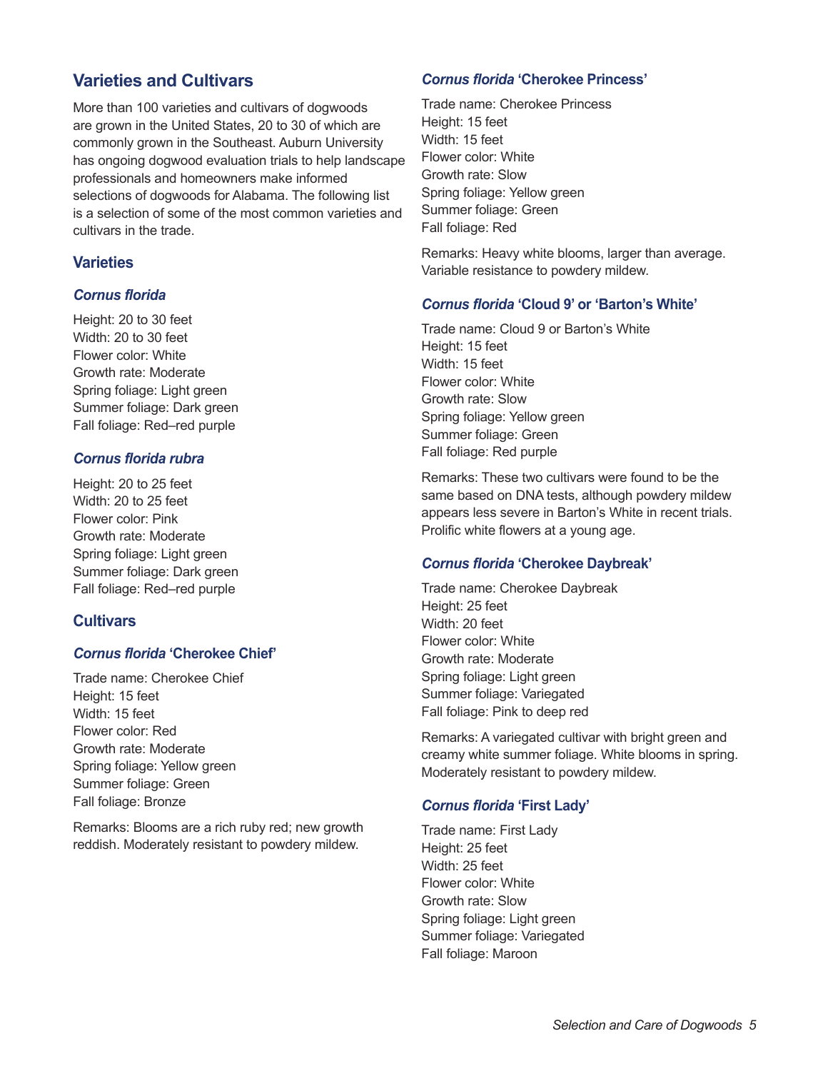# **Varieties and Cultivars**

More than 100 varieties and cultivars of dogwoods are grown in the United States, 20 to 30 of which are commonly grown in the Southeast. Auburn University has ongoing dogwood evaluation trials to help landscape professionals and homeowners make informed selections of dogwoods for Alabama. The following list is a selection of some of the most common varieties and cultivars in the trade.

## **Varieties**

## *Cornus florida*

Height: 20 to 30 feet Width: 20 to 30 feet Flower color: White Growth rate: Moderate Spring foliage: Light green Summer foliage: Dark green Fall foliage: Red–red purple

## *Cornus florida rubra*

Height: 20 to 25 feet Width: 20 to 25 feet Flower color: Pink Growth rate: Moderate Spring foliage: Light green Summer foliage: Dark green Fall foliage: Red–red purple

## **Cultivars**

#### *Cornus florida* **'Cherokee Chief'**

Trade name: Cherokee Chief Height: 15 feet Width: 15 feet Flower color: Red Growth rate: Moderate Spring foliage: Yellow green Summer foliage: Green Fall foliage: Bronze

Remarks: Blooms are a rich ruby red; new growth reddish. Moderately resistant to powdery mildew.

#### *Cornus florida* **'Cherokee Princess'**

Trade name: Cherokee Princess Height: 15 feet Width: 15 feet Flower color: White Growth rate: Slow Spring foliage: Yellow green Summer foliage: Green Fall foliage: Red

Remarks: Heavy white blooms, larger than average. Variable resistance to powdery mildew.

#### *Cornus florida* **'Cloud 9' or 'Barton's White'**

Trade name: Cloud 9 or Barton's White Height: 15 feet Width: 15 feet Flower color: White Growth rate: Slow Spring foliage: Yellow green Summer foliage: Green Fall foliage: Red purple

Remarks: These two cultivars were found to be the same based on DNA tests, although powdery mildew appears less severe in Barton's White in recent trials. Prolific white flowers at a young age.

#### *Cornus florida* **'Cherokee Daybreak'**

Trade name: Cherokee Daybreak Height: 25 feet Width: 20 feet Flower color: White Growth rate: Moderate Spring foliage: Light green Summer foliage: Variegated Fall foliage: Pink to deep red

Remarks: A variegated cultivar with bright green and creamy white summer foliage. White blooms in spring. Moderately resistant to powdery mildew.

#### *Cornus florida* **'First Lady'**

Trade name: First Lady Height: 25 feet Width: 25 feet Flower color: White Growth rate: Slow Spring foliage: Light green Summer foliage: Variegated Fall foliage: Maroon